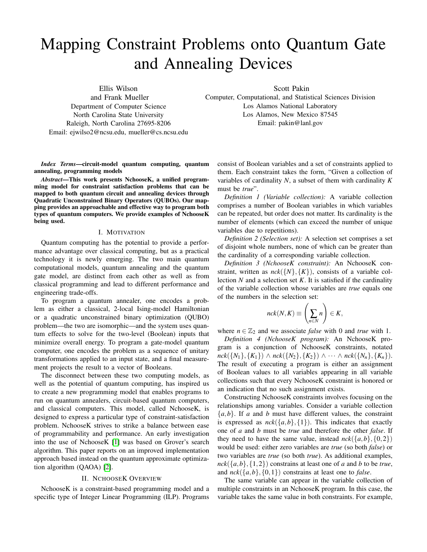# Mapping Constraint Problems onto Quantum Gate and Annealing Devices

Ellis Wilson and Frank Mueller Department of Computer Science North Carolina State University Raleigh, North Carolina 27695-8206 Email: ejwilso2@ncsu.edu, mueller@cs.ncsu.edu Scott Pakin

Computer, Computational, and Statistical Sciences Division Los Alamos National Laboratory Los Alamos, New Mexico 87545 Email: pakin@lanl.gov

*Index Terms*—circuit-model quantum computing, quantum annealing, programming models

*Abstract*—This work presents NchooseK, a unified programming model for constraint satisfaction problems that can be mapped to both quantum circuit and annealing devices through Quadratic Unconstrained Binary Operators (QUBOs). Our mapping provides an approachable and effective way to program both types of quantum computers. We provide examples of NchooseK being used.

#### I. MOTIVATION

Quantum computing has the potential to provide a performance advantage over classical computing, but as a practical technology it is newly emerging. The two main quantum computational models, quantum annealing and the quantum gate model, are distinct from each other as well as from classical programming and lead to different performance and engineering trade-offs.

To program a quantum annealer, one encodes a problem as either a classical, 2-local Ising-model Hamiltonian or a quadratic unconstrained binary optimization (QUBO) problem—the two are isomorphic—and the system uses quantum effects to solve for the two-level (Boolean) inputs that minimize overall energy. To program a gate-model quantum computer, one encodes the problem as a sequence of unitary transformations applied to an input state, and a final measurement projects the result to a vector of Booleans.

The disconnect between these two computing models, as well as the potential of quantum computing, has inspired us to create a new programming model that enables programs to run on quantum annealers, circuit-based quantum computers, and classical computers. This model, called NchooseK, is designed to express a particular type of constraint-satisfaction problem. NchooseK strives to strike a balance between ease of programmability and performance. An early investigation into the use of NchooseK [\[1\]](#page-7-0) was based on Grover's search algorithm. This paper reports on an improved implementation approach based instead on the quantum approximate optimization algorithm (QAOA) [\[2\]](#page-7-1).

# II. NCHOOSEK OVERVIEW

<span id="page-0-0"></span>NchooseK is a constraint-based programming model and a specific type of Integer Linear Programming (ILP). Programs consist of Boolean variables and a set of constraints applied to them. Each constraint takes the form, "Given a collection of variables of cardinality *N*, a subset of them with cardinality *K* must be *true*".

*Definition 1 (Variable collection):* A variable collection comprises a number of Boolean variables in which variables can be repeated, but order does not matter. Its cardinality is the number of elements (which can exceed the number of unique variables due to repetitions).

*Definition 2 (Selection set):* A selection set comprises a set of disjoint whole numbers, none of which can be greater than the cardinality of a corresponding variable collection.

*Definition 3 (NchooseK constraint):* An NchooseK constraint, written as  $nck({N},{K})$ , consists of a variable collection  $N$  and a selection set  $K$ . It is satisfied if the cardinality of the variable collection whose variables are *true* equals one of the numbers in the selection set:

$$
nck(N,K) \equiv \left(\sum_{n\in N} n\right) \in K,
$$

where  $n \in \mathbb{Z}_2$  and we associate *false* with 0 and *true* with 1.

*Definition 4 (NchooseK program):* An NchooseK program is a conjunction of NchooseK constraints, notated *nck*({*N*<sub>1</sub>},{*K*<sub>1</sub>}) ∧ *nck*({*N*<sub>2</sub>},{*K*<sub>2</sub>}) ∧ ··· ∧ *nck*({*N<sub>n</sub>*},{*K<sub>n</sub>*}). The result of executing a program is either an assignment of Boolean values to all variables appearing in all variable collections such that every NchooseK constraint is honored or an indication that no such assignment exists.

Constructing NchooseK constraints involves focusing on the relationships among variables. Consider a variable collection  ${a,b}$ . If *a* and *b* must have different values, the constraint is expressed as  $nck({a,b}, {1})$ . This indicates that exactly one of *a* and *b* must be *true* and therefore the other *false*. If they need to have the same value, instead  $nck({a,b}, {0,2})$ would be used: either zero variables are *true* (so both *false*) or two variables are *true* (so both *true*). As additional examples,  $nck({a,b}, {1,2})$  constrains at least one of *a* and *b* to be *true*, and  $nck({a,b}, {0,1})$  constrains at least one to *false*.

The same variable can appear in the variable collection of multiple constraints in an NchooseK program. In this case, the variable takes the same value in both constraints. For example,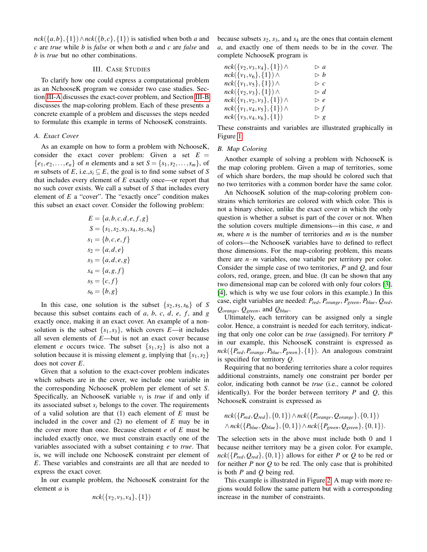$nck({a,b}, {1}) \wedge nck({b,c}, {1})$  is satisfied when both *a* and *c* are *true* while *b* is *false* or when both *a* and *c* are *false* and *b* is *true* but no other combinations.

## III. CASE STUDIES

<span id="page-1-2"></span>To clarify how one could express a computational problem as an NchooseK program we consider two case studies. Section [III-A](#page-1-0) discusses the exact-cover problem, and Section [III-B](#page-1-1) discusses the map-coloring problem. Each of these presents a concrete example of a problem and discusses the steps needed to formulate this example in terms of NchooseK constraints.

#### <span id="page-1-0"></span>*A. Exact Cover*

As an example on how to form a problem with NchooseK, consider the exact cover problem: Given a set  $E =$  ${e_1, e_2,..., e_n}$  of *n* elements and a set  $S = {s_1, s_2,..., s_m}$ , of *m* subsets of *E*, i.e., $s_i \subseteq E$ , the goal is to find some subset of *S* that includes every element of *E* exactly once—or report that no such cover exists. We call a subset of *S* that includes every element of *E* a "cover". The "exactly once" condition makes this subset an exact cover. Consider the following problem:

$$
E = \{a, b, c, d, e, f, g\}
$$
  
\n
$$
S = \{s_1, s_2, s_3, s_4, s_5, s_6\}
$$
  
\n
$$
s_1 = \{b, c, e, f\}
$$
  
\n
$$
s_2 = \{a, d, e\}
$$
  
\n
$$
s_3 = \{a, d, e, g\}
$$
  
\n
$$
s_4 = \{a, g, f\}
$$
  
\n
$$
s_5 = \{c, f\}
$$
  
\n
$$
s_6 = \{b, g\}
$$

In this case, one solution is the subset  $\{s_2, s_5, s_6\}$  of *S* because this subset contains each of  $a, b, c, d, e, f$ , and  $g$ exactly once, making it an exact cover. An example of a nonsolution is the subset  $\{s_1, s_3\}$ , which covers *E*—it includes all seven elements of *E*—but is not an exact cover because element *e* occurs twice. The subset  $\{s_1, s_2\}$  is also not a solution because it is missing element *g*, implying that  $\{s_1, s_2\}$ does not cover *E*.

Given that a solution to the exact-cover problem indicates which subsets are in the cover, we include one variable in the corresponding NchooseK problem per element of set *S*. Specifically, an NchooseK variable  $v_i$  is *true* if and only if its associated subset *s<sup>i</sup>* belongs to the cover. The requirements of a valid solution are that (1) each element of *E* must be included in the cover and (2) no element of *E* may be in the cover more than once. Because element *e* of *E* must be included exactly once, we must constrain exactly one of the variables associated with a subset containing *e* to *true*. That is, we will include one NchooseK constraint per element of *E*. These variables and constraints are all that are needed to express the exact cover.

In our example problem, the NchooseK constraint for the element *a* is

$$
nck({v_2,v_3,v_4},\{1\})
$$

because subsets  $s_2$ ,  $s_3$ , and  $s_4$  are the ones that contain element *a*, and exactly one of them needs to be in the cover. The complete NchooseK program is

| $nck({v_2,v_3,v_4},{1}) \wedge$   | $\triangleright a$   |
|-----------------------------------|----------------------|
| $nck({v_1,v_6},\{1\}) \wedge$     | $\triangleright$ $b$ |
| $nck({v_1,v_5},\{1\}) \wedge$     | $\triangleright c$   |
| $nck({v_2,v_3},\{1\})$ $\wedge$   | $\triangleright d$   |
| $nck({v_1,v_2,v_3},\{1\}) \wedge$ | $\triangleright$ e   |
| $nck({v_1,v_4,v_5},\{1\}) \wedge$ | $\triangleright$ f   |
| $nck({v_3,v_4,v_6},\{1\})$        | $\triangleright$ g   |

These constraints and variables are illustrated graphically in Figure [1.](#page-2-0)

## <span id="page-1-1"></span>*B. Map Coloring*

Another example of solving a problem with NchooseK is the map coloring problem. Given a map of territories, some of which share borders, the map should be colored such that no two territories with a common border have the same color.

An NchooseK solution of the map-coloring problem constrains which territories are colored with which color. This is not a binary choice, unlike the exact cover in which the only question is whether a subset is part of the cover or not. When the solution covers multiple dimensions—in this case, *n* and *m*, where *n* is the number of territories and *m* is the number of colors—the NchooseK variables have to defined to reflect those dimensions. For the map-coloring problem, this means there are  $n \cdot m$  variables, one variable per territory per color. Consider the simple case of two territories, *P* and *Q*, and four colors, red, orange, green, and blue. (It can be shown that any two dimensional map can be colored with only four colors [\[3\]](#page-7-2), [\[4\]](#page-7-3), which is why we use four colors in this example.) In this case, eight variables are needed: *Pred*, *Porange*, *Pgreen*, *Pblue*, *Qred*, *Qorange*, *Qgreen*, and *Qblue*.

Ultimately, each territory can be assigned only a single color. Hence, a constraint is needed for each territory, indicating that only one color can be *true* (assigned). For territory *P* in our example, this NchooseK constraint is expressed as  $nck({P_{red}, P_{orange}, P_{blue}, P_{green}}, {1}).$  An analogous constraint is specified for territory *Q*.

Requiring that no bordering territories share a color requires additional constraints, namely one constraint per border per color, indicating both cannot be *true* (i.e., cannot be colored identically). For the border between territory *P* and *Q*, this NchooseK constraint is expressed as

$$
nck({P_{red}, Q_{red}}, {0,1}) \wedge nck({P_{orange}, Q_{orange}}, {0,1})
$$
  
 
$$
\wedge nck({P_{blue}, Q_{blue}}, {0,1}) \wedge nck({P_{green}, Q_{green}}, {0,1}).
$$

The selection sets in the above must include both 0 and 1 because neither territory may be a given color. For example,  $nck({P_{red}, Q_{red}}, \{0,1\})$  allows for either *P* or *Q* to be red or for neither *P* nor *Q* to be red. The only case that is prohibited is both *P* and *Q* being red.

This example is illustrated in Figure [2.](#page-2-1) A map with more regions would follow the same pattern but with a corresponding increase in the number of constraints.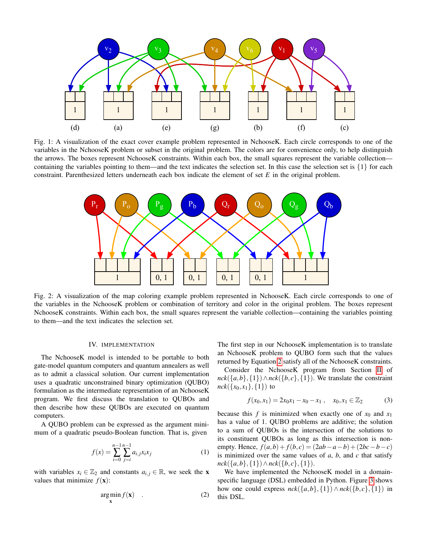<span id="page-2-0"></span>

Fig. 1: A visualization of the exact cover example problem represented in NchooseK. Each circle corresponds to one of the variables in the NchooseK problem or subset in the original problem. The colors are for convenience only, to help distinguish the arrows. The boxes represent NchooseK constraints. Within each box, the small squares represent the variable collection containing the variables pointing to them—and the text indicates the selection set. In this case the selection set is  $\{1\}$  for each constraint. Parenthesized letters underneath each box indicate the element of set *E* in the original problem.

<span id="page-2-1"></span>

Fig. 2: A visualization of the map coloring example problem represented in NchooseK. Each circle corresponds to one of the variables in the NchooseK problem or combination of territory and color in the original problem. The boxes represent NchooseK constraints. Within each box, the small squares represent the variable collection—containing the variables pointing to them—and the text indicates the selection set.

# IV. IMPLEMENTATION

The NchooseK model is intended to be portable to both gate-model quantum computers and quantum annealers as well as to admit a classical solution. Our current implementation uses a quadratic unconstrained binary optimization (QUBO) formulation as the intermediate representation of an NchooseK program. We first discuss the translation to QUBOs and then describe how these QUBOs are executed on quantum computers.

A QUBO problem can be expressed as the argument minimum of a quadratic pseudo-Boolean function. That is, given

<span id="page-2-3"></span>
$$
f(x) = \sum_{i=0}^{n-1} \sum_{j=i}^{n-1} a_{i,j} x_i x_j
$$
 (1)

with variables  $x_i \in \mathbb{Z}_2$  and constants  $a_{i,j} \in \mathbb{R}$ , we seek the **x** values that minimize  $f(\mathbf{x})$ :

<span id="page-2-2"></span>
$$
\underset{\mathbf{x}}{\arg\min} f(\mathbf{x}) \quad . \tag{2}
$$

The first step in our NchooseK implementation is to translate an NchooseK problem to QUBO form such that the values returned by Equation [2](#page-2-2) satisfy all of the NchooseK constraints.

Consider the NchooseK program from Section [II](#page-0-0) of  $nck({a,b}, {1}) \wedge nck({b,c}, {1})$ . We translate the constraint  $nck({x_0, x_1}, {1})$  to

<span id="page-2-4"></span>
$$
f(x_0, x_1) = 2x_0x_1 - x_0 - x_1 , \quad x_0, x_1 \in \mathbb{Z}_2 \tag{3}
$$

because this  $f$  is minimized when exactly one of  $x_0$  and  $x_1$ has a value of 1. QUBO problems are additive; the solution to a sum of QUBOs is the intersection of the solutions to its constituent QUBOs as long as this intersection is nonempty. Hence,  $f(a,b) + f(b,c) = (2ab - a - b) + (2bc - b - c)$ is minimized over the same values of  $a$ ,  $b$ , and  $c$  that satisfy *nck*({*a*,*b*}, {1})∧*nck*({*b*,*c*}, {1}).

We have implemented the NchooseK model in a domainspecific language (DSL) embedded in Python. Figure [3](#page-3-0) shows how one could express  $nck({a,b}, {1}) \wedge nck({b,c}, {1})$  in this DSL.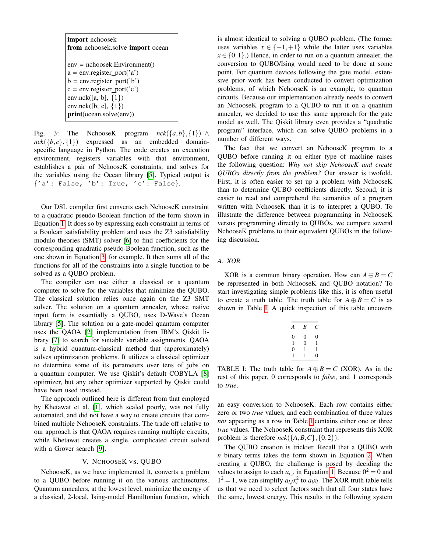<span id="page-3-0"></span>

| import nchoosek<br>from nchoosek.solve import ocean |  |  |  |  |
|-----------------------------------------------------|--|--|--|--|
| $env =$ nchoosek.Environment()                      |  |  |  |  |
| $a = env.\text{register\_port('a')}$                |  |  |  |  |
| $b = env.\text{register\_port('b')}$                |  |  |  |  |
| $c = env.\text{register\_port('c')}$                |  |  |  |  |
| env.nck([a, b], $\{1\}$ )                           |  |  |  |  |
| env.nck([b, c], $\{1\}$ )                           |  |  |  |  |
| print(ocean.solve(env))                             |  |  |  |  |

Fig. 3: The NchooseK program  $nck({a,b}, {1}) \wedge$  $nck({b,c}, {1})$  expressed as an embedded domainspecific language in Python. The code creates an execution environment, registers variables with that environment, establishes a pair of NchooseK constraints, and solves for the variables using the Ocean library [\[5\]](#page-7-4). Typical output is  ${^{\prime}a'}$ : False,  $'b'$ : True,  $'c'$ : False $}.$ 

Our DSL compiler first converts each NchooseK constraint to a quadratic pseudo-Boolean function of the form shown in Equation [1.](#page-2-3) It does so by expressing each constraint in terms of a Boolean satisfiability problem and uses the Z3 satisfiability modulo theories (SMT) solver [\[6\]](#page-7-5) to find coefficients for the corresponding quadratic pseudo-Boolean function, such as the one shown in Equation [3,](#page-2-4) for example. It then sums all of the functions for all of the constraints into a single function to be solved as a QUBO problem.

The compiler can use either a classical or a quantum computer to solve for the variables that minimize the QUBO. The classical solution relies once again on the Z3 SMT solver. The solution on a quantum annealer, whose native input form is essentially a QUBO, uses D-Wave's Ocean library [\[5\]](#page-7-4). The solution on a gate-model quantum computer uses the QAOA [\[2\]](#page-7-1) implementation from IBM's Qiskit library [\[7\]](#page-7-6) to search for suitable variable assignments. QAOA is a hybrid quantum-classical method that (approximately) solves optimization problems. It utilizes a classical optimizer to determine some of its parameters over tens of jobs on a quantum computer. We use Qiskit's default COBYLA [\[8\]](#page-7-7) optimizer, but any other optimizer supported by Qiskit could have been used instead.

The approach outlined here is different from that employed by Khetawat et al. [\[1\]](#page-7-0), which scaled poorly, was not fully automated, and did not have a way to create circuits that combined multiple NchooseK constraints. The trade off relative to our approach is that QAOA requires running multiple circuits, while Khetawat creates a single, complicated circuit solved with a Grover search [\[9\]](#page-7-8).

#### V. NCHOOSEK VS. QUBO

NchooseK, as we have implemented it, converts a problem to a QUBO before running it on the various architectures. Quantum annealers, at the lowest level, minimize the energy of a classical, 2-local, Ising-model Hamiltonian function, which

is almost identical to solving a QUBO problem. (The former uses variables  $x \in \{-1, +1\}$  while the latter uses variables  $x \in \{0,1\}$ .) Hence, in order to run on a quantum annealer, the conversion to QUBO/Ising would need to be done at some point. For quantum devices following the gate model, extensive prior work has been conducted to convert optimization problems, of which NchooseK is an example, to quantum circuits. Because our implementation already needs to convert an NchooseK program to a QUBO to run it on a quantum annealer, we decided to use this same approach for the gate model as well. The Qiskit library even provides a "quadratic program" interface, which can solve QUBO problems in a number of different ways.

The fact that we convert an NchooseK program to a QUBO before running it on either type of machine raises the following question: *Why not skip NchooseK and create QUBOs directly from the problem?* Our answer is twofold. First, it is often easier to set up a problem with NchooseK than to determine QUBO coefficients directly. Second, it is easier to read and comprehend the semantics of a program written with NchooseK than it is to interpret a QUBO. To illustrate the difference between programming in NchooseK versus programming directly to QUBOs, we compare several NchooseK problems to their equivalent QUBOs in the following discussion.

## *A. XOR*

<span id="page-3-1"></span>XOR is a common binary operation. How can  $A \oplus B = C$ be represented in both NchooseK and QUBO notation? To start investigating simple problems like this, it is often useful to create a truth table. The truth table for  $A \oplus B = C$  is as shown in Table [I.](#page-3-1) A quick inspection of this table uncovers

| A        | B        | С |
|----------|----------|---|
| 0        | 0        | 0 |
| 1        | $\theta$ | 1 |
| $\theta$ | 1        | 1 |
| 1        | 1        | 0 |
|          |          |   |

TABLE I: The truth table for  $A \oplus B = C$  (XOR). As in the rest of this paper, 0 corresponds to *false*, and 1 corresponds to *true*.

an easy conversion to NchooseK. Each row contains either zero or two *true* values, and each combination of three values *not* appearing as a row in Table [I](#page-3-1) contains either one or three *true* values. The NchooseK constraint that represents this XOR problem is therefore  $nck({A, B, C}, {0, 2})$ .

The QUBO creation is trickier. Recall that a QUBO with *n* binary terms takes the form shown in Equation [2.](#page-2-2) When creating a QUBO, the challenge is posed by deciding the values to assign to each  $a_{i,j}$  in Equation [1.](#page-2-3) Because  $0^2 = 0$  and  $1^2 = 1$ , we can simplify  $a_{i,i}x_i^2$  to  $a_ix_i$ . The XOR truth table tells us that we need to select factors such that all four states have the same, lowest energy. This results in the following system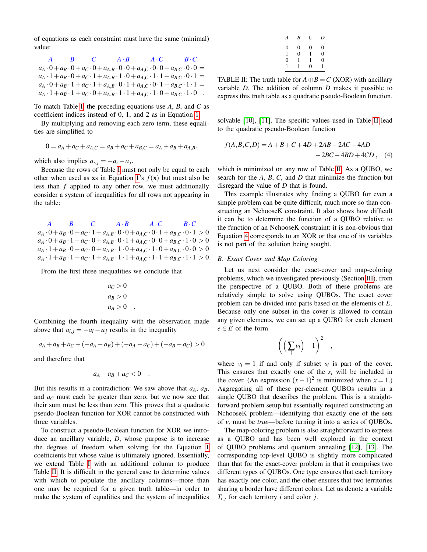of equations as each constraint must have the same (minimal) value:

|  | $A$ $B$ $C$ $A \cdot B$ $A \cdot C$ $B \cdot C$                                                                           |  |
|--|---------------------------------------------------------------------------------------------------------------------------|--|
|  | $a_A \cdot 0 + a_B \cdot 0 + a_C \cdot 0 + a_{A,B} \cdot 0 \cdot 0 + a_{A,C} \cdot 0 \cdot 0 + a_{B,C} \cdot 0 \cdot 0 =$ |  |
|  | $a_A \cdot 1 + a_B \cdot 0 + a_C \cdot 1 + a_{A,B} \cdot 1 \cdot 0 + a_{A,C} \cdot 1 \cdot 1 + a_{B,C} \cdot 0 \cdot 1 =$ |  |
|  | $a_A \cdot 0 + a_B \cdot 1 + a_C \cdot 1 + a_{A,B} \cdot 0 \cdot 1 + a_{A,C} \cdot 0 \cdot 1 + a_{B,C} \cdot 1 \cdot 1 =$ |  |
|  | $a_A \cdot 1 + a_B \cdot 1 + a_C \cdot 0 + a_{A,B} \cdot 1 \cdot 1 + a_{A,C} \cdot 1 \cdot 0 + a_{B,C} \cdot 1 \cdot 0$ . |  |

To match Table [I,](#page-3-1) the preceding equations use *A*, *B*, and *C* as coefficient indices instead of 0, 1, and 2 as in Equation [1.](#page-2-3)

By multiplying and removing each zero term, these equalities are simplified to

$$
0 = a_A + a_C + a_{A,C} = a_B + a_C + a_{B,C} = a_A + a_B + a_{A,B}.
$$

which also implies  $a_{i,j} = -a_i - a_j$ .

Because the rows of Table [I](#page-3-1) must not only be equal to each other when used as xs in Equation [1'](#page-2-3)s  $f(x)$  but must also be less than *f* applied to any other row, we must additionally consider a system of inequalities for all rows not appearing in the table:

*A B C A*·*B A*·*C B*·*C*  $a_A \cdot 0 + a_B \cdot 0 + a_C \cdot 1 + a_{A,B} \cdot 0 \cdot 0 + a_{A,C} \cdot 0 \cdot 1 + a_{B,C} \cdot 0 \cdot 1 > 0$  $a_A \cdot 0 + a_B \cdot 1 + a_C \cdot 0 + a_{A,B} \cdot 0 \cdot 1 + a_{A,C} \cdot 0 \cdot 0 + a_{B,C} \cdot 1 \cdot 0 > 0$  $a_A \cdot 1 + a_B \cdot 0 + a_C \cdot 0 + a_{A,B} \cdot 1 \cdot 0 + a_{A,C} \cdot 1 \cdot 0 + a_{B,C} \cdot 0 \cdot 0 > 0$  $a_A \cdot 1 + a_B \cdot 1 + a_C \cdot 1 + a_{A,B} \cdot 1 \cdot 1 + a_{A,C} \cdot 1 \cdot 1 + a_{B,C} \cdot 1 \cdot 1 > 0.$ 

From the first three inequalities we conclude that

$$
a_C > 0
$$
  
\n
$$
a_B > 0
$$
  
\n
$$
a_A > 0
$$

Combining the fourth inequality with the observation made above that  $a_{i,j} = -a_i - a_j$  results in the inequality

$$
a_A + a_B + a_C + (-a_A - a_B) + (-a_A - a_C) + (-a_B - a_C) > 0
$$

and therefore that

$$
a_A + a_B + a_C < 0 \quad .
$$

But this results in a contradiction: We saw above that  $a_A$ ,  $a_B$ , and *a<sup>C</sup>* must each be greater than zero, but we now see that their sum must be less than zero. This proves that a quadratic pseudo-Boolean function for XOR cannot be constructed with three variables.

To construct a pseudo-Boolean function for XOR we introduce an ancillary variable, *D*, whose purpose is to increase the degrees of freedom when solving for the Equation [1](#page-2-3) coefficients but whose value is ultimately ignored. Essentially, we extend Table [I](#page-3-1) with an additional column to produce Table [II.](#page-4-0) It is difficult in the general case to determine values with which to populate the ancillary columns—more than one may be required for a given truth table—in order to make the system of equalities and the system of inequalities

<span id="page-4-1"></span>

| А | B              | C            | D              |
|---|----------------|--------------|----------------|
| 0 | 0              | 0            | 0              |
| 1 | $\overline{0}$ | $\mathbf{1}$ | $\overline{0}$ |
| 0 | $\mathbf{1}$   | 1            | $\overline{0}$ |
|   | 1              | $\theta$     |                |

<span id="page-4-0"></span>TABLE II: The truth table for  $A \oplus B = C$  (XOR) with ancillary variable *D*. The addition of column *D* makes it possible to express this truth table as a quadratic pseudo-Boolean function.

solvable [\[10\]](#page-7-9), [\[11\]](#page-7-10). The specific values used in Table [II](#page-4-0) lead to the quadratic pseudo-Boolean function

$$
f(A, B, C, D) = A + B + C + 4D + 2AB - 2AC - 4AD - 2BC - 4BD + 4CD ,
$$
 (4)

which is minimized on any row of Table [II.](#page-4-0) As a QUBO, we search for the *A*, *B*, *C*, and *D* that minimize the function but disregard the value of *D* that is found.

This example illustrates why finding a QUBO for even a simple problem can be quite difficult, much more so than constructing an NchooseK constraint. It also shows how difficult it can be to determine the function of a QUBO relative to the function of an NchooseK constraint: it is non-obvious that Equation [4](#page-4-1) corresponds to an XOR or that one of its variables is not part of the solution being sought.

#### *B. Exact Cover and Map Coloring*

Let us next consider the exact-cover and map-coloring problems, which we investigated previously (Section [III\)](#page-1-2), from the perspective of a QUBO. Both of these problems are relatively simple to solve using QUBOs. The exact cover problem can be divided into parts based on the elements of *E*. Because only one subset in the cover is allowed to contain any given elements, we can set up a QUBO for each element  $e \in E$  of the form

$$
\left(\left(\sum_i v_i\right)-1\right)^2\quad,
$$

where  $v_i = 1$  if and only if subset  $s_i$  is part of the cover. This ensures that exactly one of the  $s_i$  will be included in the cover. (An expression  $(x-1)^2$  is minimized when  $x = 1$ .) Aggregating all of these per-element QUBOs results in a single QUBO that describes the problem. This is a straightforward problem setup but essentially required constructing an NchooseK problem—identifying that exactly one of the sets of *v<sup>i</sup>* must be *true*—before turning it into a series of QUBOs.

The map-coloring problem is also straightforward to express as a QUBO and has been well explored in the context of QUBO problems and quantum annealing [\[12\]](#page-7-11), [\[13\]](#page-7-12). The corresponding top-level QUBO is slightly more complicated than that for the exact-cover problem in that it comprises two different types of QUBOs. One type ensures that each territory has exactly one color, and the other ensures that two territories sharing a border have different colors. Let us denote a variable  $T_{i,j}$  for each territory *i* and color *j*.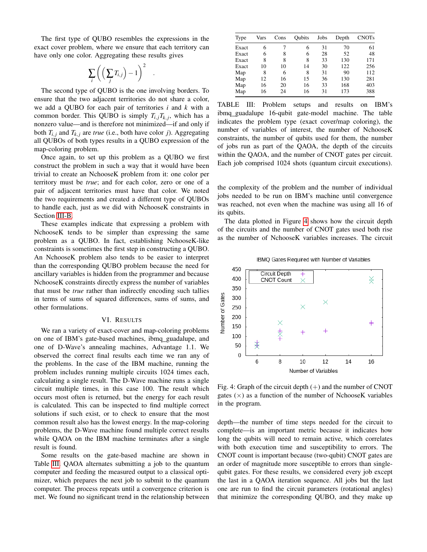The first type of QUBO resembles the expressions in the exact cover problem, where we ensure that each territory can have only one color. Aggregating these results gives

$$
\sum_i \left( \Big(\sum_j T_{i,j} \Big) - 1 \right)^2
$$

.

The second type of QUBO is the one involving borders. To ensure that the two adjacent territories do not share a color, we add a QUBO for each pair of territories *i* and *k* with a common border. This QUBO is simply  $T_{i,j}T_{k,j}$ , which has a nonzero value—and is therefore not minimized—if and only if both  $T_{i,j}$  and  $T_{k,j}$  are *true* (i.e., both have color *j*). Aggregating all QUBOs of both types results in a QUBO expression of the map-coloring problem.

Once again, to set up this problem as a QUBO we first construct the problem in such a way that it would have been trivial to create an NchooseK problem from it: one color per territory must be *true*; and for each color, zero or one of a pair of adjacent territories must have that color. We noted the two requirements and created a different type of QUBOs to handle each, just as we did with NchooseK constraints in Section [III-B.](#page-1-1)

These examples indicate that expressing a problem with NchooseK tends to be simpler than expressing the same problem as a QUBO. In fact, establishing NchooseK-like constraints is sometimes the first step in constructing a QUBO. An NchooseK problem also tends to be easier to interpret than the corresponding QUBO problem because the need for ancillary variables is hidden from the programmer and because NchooseK constraints directly express the number of variables that must be *true* rather than indirectly encoding such tallies in terms of sums of squared differences, sums of sums, and other formulations.

#### VI. RESULTS

We ran a variety of exact-cover and map-coloring problems on one of IBM's gate-based machines, ibmq guadalupe, and one of D-Wave's annealing machines, Advantage 1.1. We observed the correct final results each time we ran any of the problems. In the case of the IBM machine, running the problem includes running multiple circuits 1024 times each, calculating a single result. The D-Wave machine runs a single circuit multiple times, in this case 100. The result which occurs most often is returned, but the energy for each result is calculated. This can be inspected to find multiple correct solutions if such exist, or to check to ensure that the most common result also has the lowest energy. In the map-coloring problems, the D-Wave machine found multiple correct results while QAOA on the IBM machine terminates after a single result is found.

Some results on the gate-based machine are shown in Table [III.](#page-5-0) QAOA alternates submitting a job to the quantum computer and feeding the measured output to a classical optimizer, which prepares the next job to submit to the quantum computer. The process repeats until a convergence criterion is met. We found no significant trend in the relationship between

<span id="page-5-0"></span>

| Type  | Vars | Cons | Oubits | Jobs | Depth | <b>CNOTs</b> |
|-------|------|------|--------|------|-------|--------------|
| Exact | 6    |      | 6      | 31   | 70    | 61           |
| Exact | 6    | 8    | 6      | 28   | 52    | 48           |
| Exact | 8    | 8    | 8      | 33   | 130   | 171          |
| Exact | 10   | 10   | 14     | 30   | 122   | 256          |
| Map   | 8    | 6    | 8      | 31   | 90    | 112          |
| Map   | 12   | 16   | 15     | 36   | 130   | 281          |
| Map   | 16   | 20   | 16     | 33   | 168   | 403          |
| Map   | 16   | 24   | 16     | 31   | 173   | 388          |

TABLE III: Problem setups and results on IBM's ibmq guadalupe 16-qubit gate-model machine. The table indicates the problem type (exact cover/map coloring), the number of variables of interest, the number of NchooseK constraints, the number of qubits used for them, the number of jobs run as part of the QAOA, the depth of the circuits within the QAOA, and the number of CNOT gates per circuit. Each job comprised 1024 shots (quantum circuit executions).

the complexity of the problem and the number of individual jobs needed to be run on IBM's machine until convergence was reached, not even when the machine was using all 16 of its qubits.

The data plotted in Figure [4](#page-5-1) shows how the circuit depth of the circuits and the number of CNOT gates used both rise as the number of NchooseK variables increases. The circuit

<span id="page-5-1"></span>

IBMQ Gates Required with Number of Variables

Fig. 4: Graph of the circuit depth  $(+)$  and the number of CNOT gates  $(\times)$  as a function of the number of NchooseK variables in the program.

depth—the number of time steps needed for the circuit to complete—is an important metric because it indicates how long the qubits will need to remain active, which correlates with both execution time and susceptibility to errors. The CNOT count is important because (two-qubit) CNOT gates are an order of magnitude more susceptible to errors than singlequbit gates. For these results, we considered every job except the last in a QAOA iteration sequence. All jobs but the last one are run to find the circuit parameters (rotational angles) that minimize the corresponding QUBO, and they make up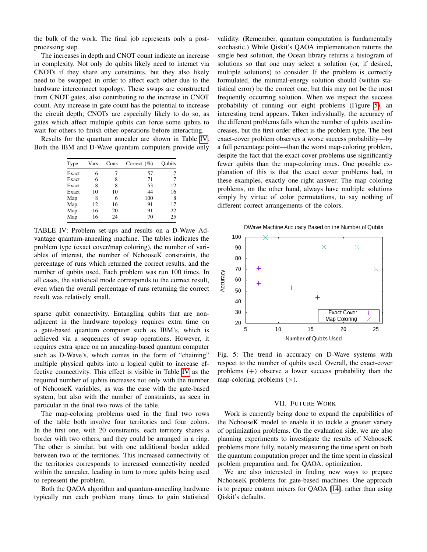the bulk of the work. The final job represents only a postprocessing step.

The increases in depth and CNOT count indicate an increase in complexity. Not only do qubits likely need to interact via CNOTs if they share any constraints, but they also likely need to be swapped in order to affect each other due to the hardware interconnect topology. These swaps are constructed from CNOT gates, also contributing to the increase in CNOT count. Any increase in gate count has the potential to increase the circuit depth; CNOTs are especially likely to do so, as gates which affect multiple qubits can force some qubits to wait for others to finish other operations before interacting.

<span id="page-6-0"></span>Results for the quantum annealer are shown in Table [IV.](#page-6-0) Both the IBM and D-Wave quantum computers provide only

| Type  | Vars | Cons | Correct $(\% )$ | Oubits |
|-------|------|------|-----------------|--------|
| Exact | 6    |      | 57              |        |
| Exact | 6    | 8    | 71              |        |
| Exact | 8    | 8    | 53              | 12     |
| Exact | 10   | 10   | 44              | 16     |
| Map   | 8    | 6    | 100             | 8      |
| Map   | 12   | 16   | 91              | 17     |
| Map   | 16   | 20   | 91              | 22     |
| Map   | 16   | 24   | 70              | 25     |

TABLE IV: Problem set-ups and results on a D-Wave Advantage quantum-annealing machine. The tables indicates the problem type (exact cover/map coloring), the number of variables of interest, the number of NchooseK constraints, the percentage of runs which returned the correct results, and the number of qubits used. Each problem was run 100 times. In all cases, the statistical mode corresponds to the correct result, even when the overall percentage of runs returning the correct result was relatively small.

sparse qubit connectivity. Entangling qubits that are nonadjacent in the hardware topology requires extra time on a gate-based quantum computer such as IBM's, which is achieved via a sequences of swap operations. However, it requires extra space on an annealing-based quantum computer such as D-Wave's, which comes in the form of "chaining" multiple physical qubits into a logical qubit to increase effective connectivity. This effect is visible in Table [IV](#page-6-0) as the required number of qubits increases not only with the number of NchooseK variables, as was the case with the gate-based system, but also with the number of constraints, as seen in particular in the final two rows of the table.

The map-coloring problems used in the final two rows of the table both involve four territories and four colors. In the first one, with 20 constraints, each territory shares a border with two others, and they could be arranged in a ring. The other is similar, but with one additional border added between two of the territories. This increased connectivity of the territories corresponds to increased connectivity needed within the annealer, leading in turn to more qubits being used to represent the problem.

Both the QAOA algorithm and quantum-annealing hardware typically run each problem many times to gain statistical validity. (Remember, quantum computation is fundamentally stochastic.) While Qiskit's QAOA implementation returns the single best solution, the Ocean library returns a histogram of solutions so that one may select a solution (or, if desired, multiple solutions) to consider. If the problem is correctly formulated, the minimal-energy solution should (within statistical error) be the correct one, but this may not be the most frequently occurring solution. When we inspect the success probability of running our eight problems (Figure [5\)](#page-6-1), an interesting trend appears. Taken individually, the accuracy of the different problems falls when the number of qubits used increases, but the first-order effect is the problem type. The best exact-cover problem observes a worse success probability—by a full percentage point—than the worst map-coloring problem, despite the fact that the exact-cover problems use significantly fewer qubits than the map-coloring ones. One possible explanation of this is that the exact cover problems had, in these examples, exactly one right answer. The map coloring problems, on the other hand, always have multiple solutions simply by virtue of color permutations, to say nothing of different correct arrangements of the colors.

<span id="page-6-1"></span>

Fig. 5: The trend in accuracy on D-Wave systems with respect to the number of qubits used. Overall, the exact-cover problems (+) observe a lower success probability than the map-coloring problems  $(x)$ .

## VII. FUTURE WORK

Work is currently being done to expand the capabilities of the NchooseK model to enable it to tackle a greater variety of optimization problems. On the evaluation side, we are also planning experiments to investigate the results of NchooseK problems more fully, notably measuring the time spent on both the quantum computation proper and the time spent in classical problem preparation and, for QAOA, optimization.

We are also interested in finding new ways to prepare NchooseK problems for gate-based machines. One approach is to prepare custom mixers for QAOA [\[14\]](#page-7-13), rather than using Qiskit's defaults.